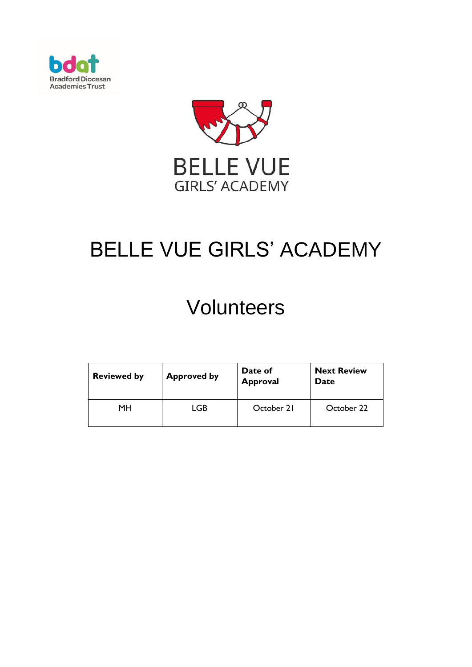



# BELLE VUE GIRLS' ACADEMY

# **Volunteers**

| <b>Reviewed by</b> | <b>Approved by</b> | Date of<br><b>Approval</b> | <b>Next Review</b><br>Date |
|--------------------|--------------------|----------------------------|----------------------------|
| MН                 | LGB                | October 21                 | October 22                 |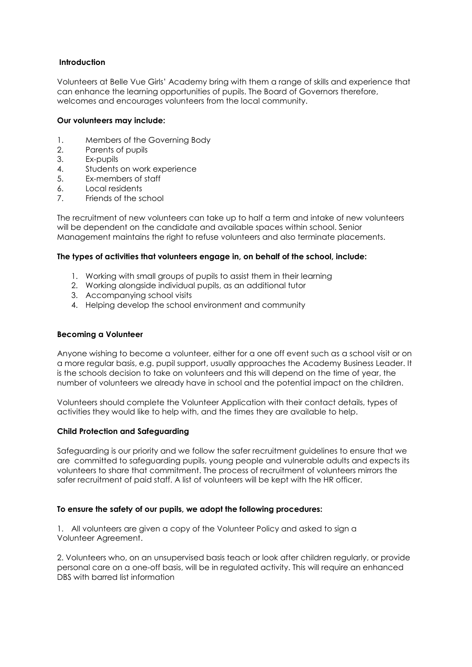#### **Introduction**

Volunteers at Belle Vue Girls' Academy bring with them a range of skills and experience that can enhance the learning opportunities of pupils. The Board of Governors therefore, welcomes and encourages volunteers from the local community.

#### **Our volunteers may include:**

- 1. Members of the Governing Body
- 2. Parents of pupils
- 3. Ex-pupils
- 4. Students on work experience
- 5. Ex-members of staff
- 6. Local residents
- 7. Friends of the school

The recruitment of new volunteers can take up to half a term and intake of new volunteers will be dependent on the candidate and available spaces within school. Senior Management maintains the right to refuse volunteers and also terminate placements.

## **The types of activities that volunteers engage in, on behalf of the school, include:**

- 1. Working with small groups of pupils to assist them in their learning
- 2. Working alongside individual pupils, as an additional tutor
- 3. Accompanying school visits
- 4. Helping develop the school environment and community

#### **Becoming a Volunteer**

Anyone wishing to become a volunteer, either for a one off event such as a school visit or on a more regular basis, e.g. pupil support, usually approaches the Academy Business Leader. It is the schools decision to take on volunteers and this will depend on the time of year, the number of volunteers we already have in school and the potential impact on the children.

Volunteers should complete the Volunteer Application with their contact details, types of activities they would like to help with, and the times they are available to help.

#### **Child Protection and Safeguarding**

Safeguarding is our priority and we follow the safer recruitment guidelines to ensure that we are committed to safeguarding pupils, young people and vulnerable adults and expects its volunteers to share that commitment. The process of recruitment of volunteers mirrors the safer recruitment of paid staff. A list of volunteers will be kept with the HR officer.

#### **To ensure the safety of our pupils, we adopt the following procedures:**

1. All volunteers are given a copy of the Volunteer Policy and asked to sign a Volunteer Agreement.

2. Volunteers who, on an unsupervised basis teach or look after children regularly, or provide personal care on a one-off basis, will be in regulated activity. This will require an enhanced DBS with barred list information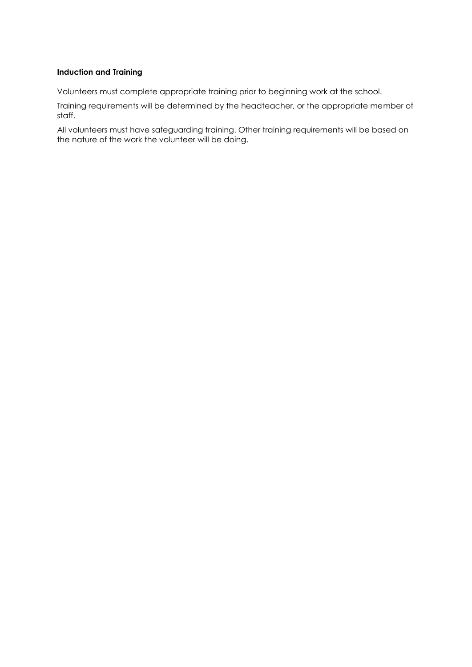#### **Induction and Training**

Volunteers must complete appropriate training prior to beginning work at the school.

Training requirements will be determined by the headteacher, or the appropriate member of staff.

All volunteers must have safeguarding training. Other training requirements will be based on the nature of the work the volunteer will be doing.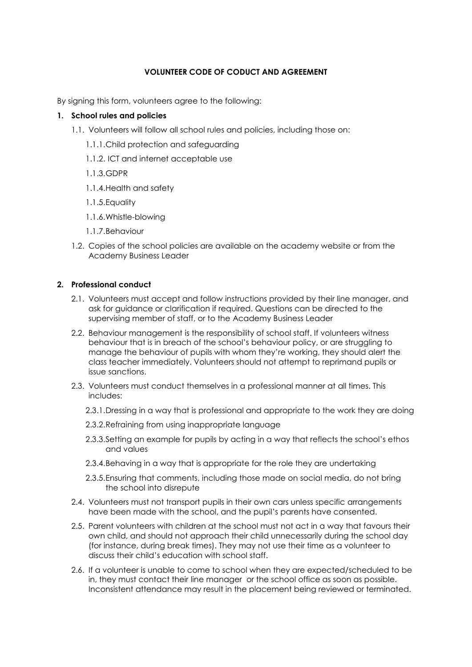### **VOLUNTEER CODE OF CODUCT AND AGREEMENT**

By signing this form, volunteers agree to the following:

#### **1. School rules and policies**

- 1.1. Volunteers will follow all school rules and policies, including those on:
	- 1.1.1.Child protection and safeguarding
	- 1.1.2. ICT and internet acceptable use
	- 1.1.3.GDPR
	- 1.1.4.Health and safety
	- 1.1.5.Equality
	- 1.1.6.Whistle-blowing
	- 1.1.7.Behaviour
- 1.2. Copies of the school policies are available on the academy website or from the Academy Business Leader

#### **2. Professional conduct**

- 2.1. Volunteers must accept and follow instructions provided by their line manager, and ask for guidance or clarification if required. Questions can be directed to the supervising member of staff, or to the Academy Business Leader
- 2.2. Behaviour management is the responsibility of school staff. If volunteers witness behaviour that is in breach of the school's behaviour policy, or are struggling to manage the behaviour of pupils with whom they're working, they should alert the class teacher immediately. Volunteers should not attempt to reprimand pupils or issue sanctions.
- 2.3. Volunteers must conduct themselves in a professional manner at all times. This includes:
	- 2.3.1.Dressing in a way that is professional and appropriate to the work they are doing
	- 2.3.2.Refraining from using inappropriate language
	- 2.3.3.Setting an example for pupils by acting in a way that reflects the school's ethos and values
	- 2.3.4.Behaving in a way that is appropriate for the role they are undertaking
	- 2.3.5.Ensuring that comments, including those made on social media, do not bring the school into disrepute
- 2.4. Volunteers must not transport pupils in their own cars unless specific arrangements have been made with the school, and the pupil's parents have consented.
- 2.5. Parent volunteers with children at the school must not act in a way that favours their own child, and should not approach their child unnecessarily during the school day (for instance, during break times). They may not use their time as a volunteer to discuss their child's education with school staff.
- 2.6. If a volunteer is unable to come to school when they are expected/scheduled to be in, they must contact their line manager or the school office as soon as possible. Inconsistent attendance may result in the placement being reviewed or terminated.